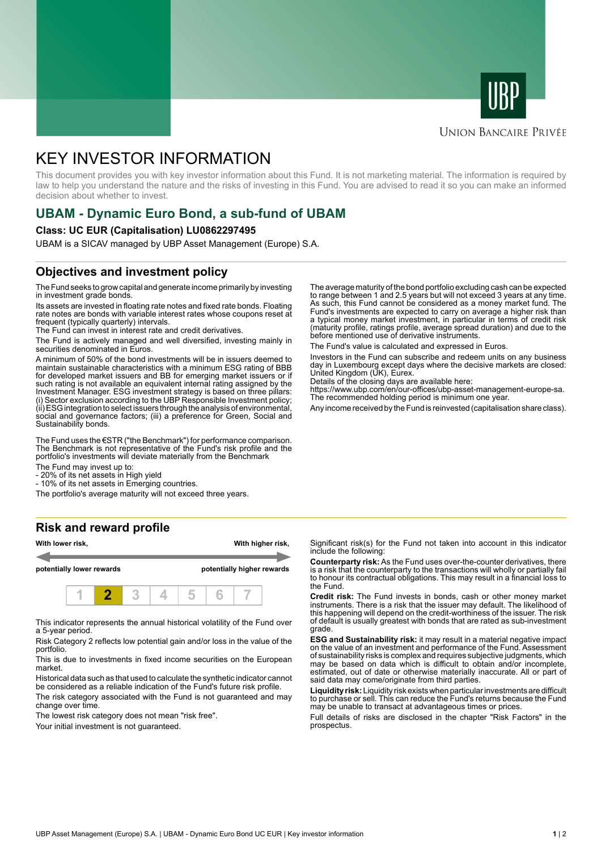



# **UNION BANCAIRE PRIVÉE**

# KEY INVESTOR INFORMATION

This document provides you with key investor information about this Fund. It is not marketing material. The information is required by law to help you understand the nature and the risks of investing in this Fund. You are advised to read it so you can make an informed decision about whether to invest.

# **UBAM - Dynamic Euro Bond, a sub-fund of UBAM**

#### **Class: UC EUR (Capitalisation) LU0862297495**

UBAM is a SICAV managed by UBP Asset Management (Europe) S.A.

# **Objectives and investment policy**

The Fund seeks to grow capital and generate income primarily by investing in investment grade bonds.

Its assets are invested in floating rate notes and fixed rate bonds. Floating rate notes are bonds with variable interest rates whose coupons reset at frequent (typically quarterly) intervals.

The Fund can invest in interest rate and credit derivatives.

The Fund is actively managed and well diversified, investing mainly in securities denominated in Euros.

A minimum of 50% of the bond investments will be in issuers deemed to maintain sustainable characteristics with a minimum ESG rating of BBB for developed market issuers and BB for emerging market issuers or if such rating is not available an equivalent internal rating assigned by the Investment Manager. ESG investment strategy is based on three pillars: (i) Sector exclusion according to the UBP Responsible Investment policy; (ii) ESG integration to select issuers through the analysis of environmental, social and governance factors; (iii) a preference for Green, Social and Sustainability bonds.

The Fund uses the €STR ("the Benchmark") for performance comparison. The Benchmark is not representative of the Fund's risk profile and the portfolio's investments will deviate materially from the Benchmark

The Fund may invest up to:

- 20% of its net assets in High yield

- 10% of its net assets in Emerging countries.

The portfolio's average maturity will not exceed three years.

### **Risk and reward profile**



This indicator represents the annual historical volatility of the Fund over a 5-year period.

Risk Category 2 reflects low potential gain and/or loss in the value of the portfolio.

This is due to investments in fixed income securities on the European market.

Historical data such as that used to calculate the synthetic indicator cannot be considered as a reliable indication of the Fund's future risk profile.

The risk category associated with the Fund is not guaranteed and may change over time.

The lowest risk category does not mean "risk free".

Your initial investment is not quaranteed.

The average maturity of the bond portfolio excluding cash can be expected to range between 1 and 2.5 years but will not exceed 3 years at any time. As such, this Fund cannot be considered as a money market fund. The Fund's investments are expected to carry on average a higher risk than a typical money market investment, in particular in terms of credit risk (maturity profile, ratings profile, average spread duration) and due to the before mentioned use of derivative instruments.

The Fund's value is calculated and expressed in Euros.

Investors in the Fund can subscribe and redeem units on any business day in Luxembourg except days where the decisive markets are closed: United Kingdom (UK), Eurex.

Details of the closing days are available here:

https://www.ubp.com/en/our-offices/ubp-asset-management-europe-sa. The recommended holding period is minimum one year.

Any income received by the Fund is reinvested (capitalisation share class).

Significant risk(s) for the Fund not taken into account in this indicator include the following:

**Counterparty risk:** As the Fund uses over-the-counter derivatives, there is a risk that the counterparty to the transactions will wholly or partially fail to honour its contractual obligations. This may result in a financial loss to the Fund.

**Credit risk:** The Fund invests in bonds, cash or other money market instruments. There is a risk that the issuer may default. The likelihood of this happening will depend on the credit-worthiness of the issuer. The risk of default is usually greatest with bonds that are rated as sub-investment grade.

**ESG and Sustainability risk:** it may result in a material negative impact on the value of an investment and performance of the Fund. Assessment of sustainability risks is complex and requires subjective judgments, which may be based on data which is difficult to obtain and/or incomplete, estimated, out of date or otherwise materially inaccurate. All or part of said data may come/originate from third parties.

**Liquidity risk:** Liquidity risk exists when particular investments are difficult to purchase or sell. This can reduce the Fund's returns because the Fund may be unable to transact at advantageous times or prices.

Full details of risks are disclosed in the chapter "Risk Factors" in the prospectus.